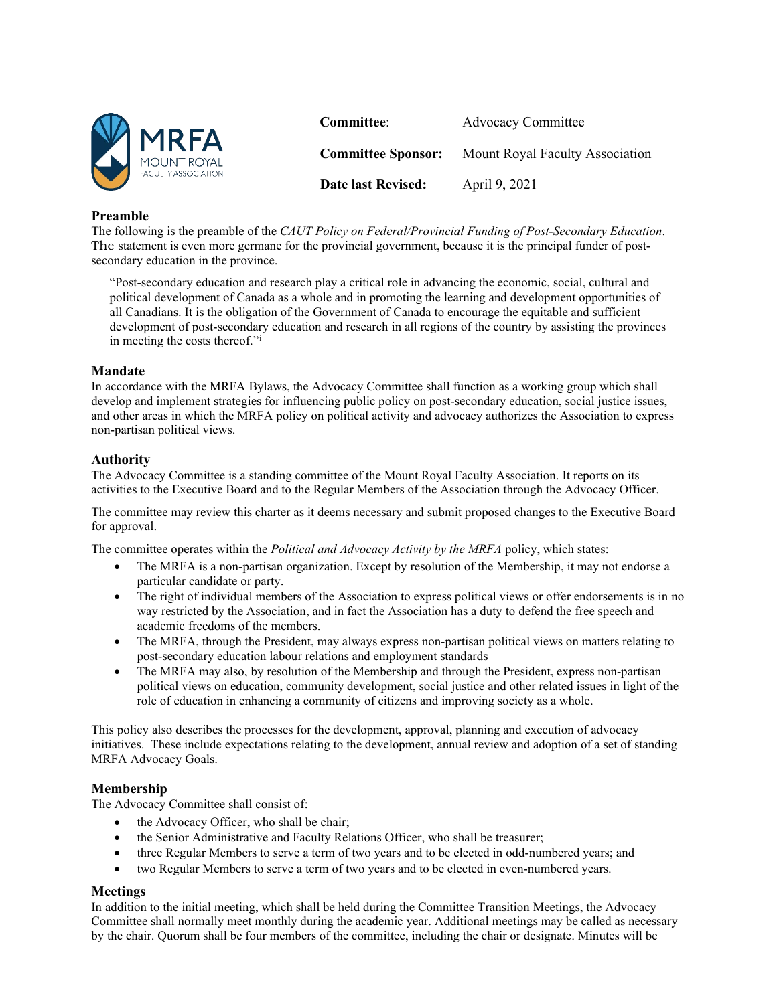

# **Preamble**

The following is the preamble of the *CAUT Policy on Federal/Provincial Funding of Post-Secondary Education*. The statement is even more germane for the provincial government, because it is the principal funder of postsecondary education in the province.

"Post-secondary education and research play a critical role in advancing the economic, social, cultural and political development of Canada as a whole and in promoting the learning and development opportunities of all Canadians. It is the obligation of the Government of Canada to encourage the equitable and sufficient development of post-secondary education and research in all regions of the country by assisting the provinces in meeting the costs thereof."[i](#page-1-0)

#### **Mandate**

In accordance with the MRFA Bylaws, the Advocacy Committee shall function as a working group which shall develop and implement strategies for influencing public policy on post-secondary education, social justice issues, and other areas in which the MRFA policy on political activity and advocacy authorizes the Association to express non-partisan political views.

#### **Authority**

The Advocacy Committee is a standing committee of the Mount Royal Faculty Association. It reports on its activities to the Executive Board and to the Regular Members of the Association through the Advocacy Officer.

The committee may review this charter as it deems necessary and submit proposed changes to the Executive Board for approval.

The committee operates within the *Political and Advocacy Activity by the MRFA* policy, which states:

- The MRFA is a non-partisan organization. Except by resolution of the Membership, it may not endorse a particular candidate or party.
- The right of individual members of the Association to express political views or offer endorsements is in no way restricted by the Association, and in fact the Association has a duty to defend the free speech and academic freedoms of the members.
- The MRFA, through the President, may always express non-partisan political views on matters relating to post-secondary education labour relations and employment standards
- The MRFA may also, by resolution of the Membership and through the President, express non-partisan political views on education, community development, social justice and other related issues in light of the role of education in enhancing a community of citizens and improving society as a whole.

This policy also describes the processes for the development, approval, planning and execution of advocacy initiatives. These include expectations relating to the development, annual review and adoption of a set of standing MRFA Advocacy Goals.

## **Membership**

The Advocacy Committee shall consist of:

- the Advocacy Officer, who shall be chair;
- the Senior Administrative and Faculty Relations Officer, who shall be treasurer;
- three Regular Members to serve a term of two years and to be elected in odd-numbered years; and
- two Regular Members to serve a term of two years and to be elected in even-numbered years.

## **Meetings**

In addition to the initial meeting, which shall be held during the Committee Transition Meetings, the Advocacy Committee shall normally meet monthly during the academic year. Additional meetings may be called as necessary by the chair. Quorum shall be four members of the committee, including the chair or designate. Minutes will be